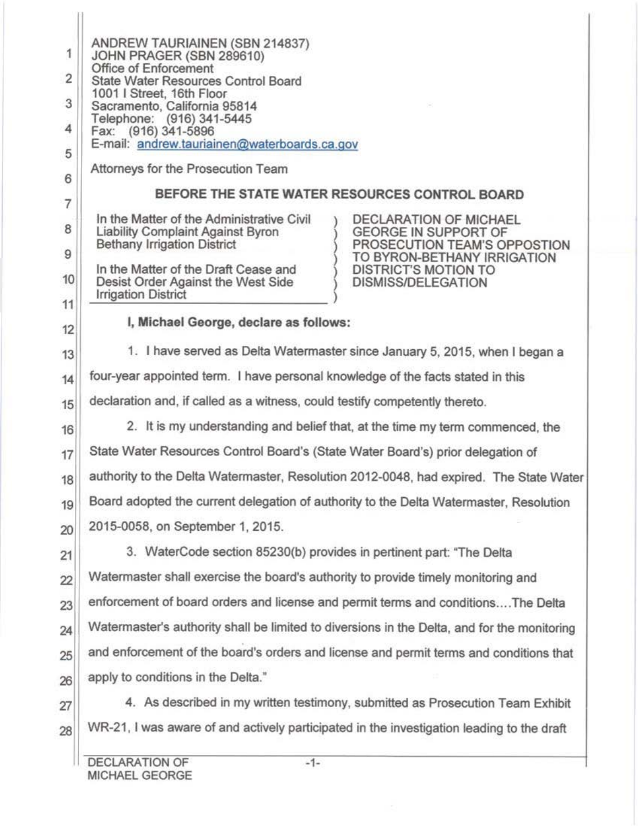1 2 3 4 5 6 7 8 9 10 11 12 13 ANDREW TAURIAINEN (SBN 214837) JOHN PRAGER (SBN 289610) Office of Enforcement State Water Resources Control Board 1001 I Street, 16th Floor Sacramento, California 95814 Telephone: (916) 341-5445 Fax: (916) 341-5896 E-mail: andrew.tauriainen@waterboards.ca.gov Attorneys for the Prosecution Team BEFORE THE STATE WATER RESOURCES CONTROL BOARD In the Matter of the Administrative Civil <br>
Liability Complaint Against Byron (GEORGE IN SUPPORT OF Liability Complaint Against Byron<br>Bethany Irrigation District PROSECUTION TEAM'S OPPOSTION TO BYRON-BETHANY IRRIGATION<br>DISTRICT'S MOTION TO In the Matter of the Draft Cease and  $\longrightarrow$  DISTRICT'S MOTION TO<br>Desist Order Against the West Side  $\longrightarrow$  DISMISS/DELEGATION Desist Order Against the West Side Irrigation District I, Michael George, declare as follows: 1. I have served as Delta Watennaster since January 5, 2015, when I began a  $14$  four-year appointed term. I have personal knowledge of the facts stated in this 15 declaration and, if called as a witness, could testify competently thereto.  $16$  2. It is my understanding and belief that, at the time my term commenced, the 17 State Water Resources Control Board's (State Water Board's) prior delegation of 18 authority to the Delta Watermaster, Resolution 2012-0048, had expired. The State Water 19 Board adopted the current delegation of authority to the Delta Watermaster, Resolution 20 | 2015-0058, on September 1, 2015. 21 3. WaterCode section 85230(b) provides in pertinent part: "The Delta 22 Watermaster shall exercise the board's authority to provide timely monitoring and 23 enforcement of board orders and license and permit terms and conditions....The Delta  $24$  Watermaster's authority shall be limited to diversions in the Delta, and for the monitoring  $25$  and enforcement of the board's orders and license and permit terms and conditions that 26 apply to conditions in the Delta." 27 4. As described in my written testimony, submitted as Prosecution Team Exhibit 28 WR-21, I was aware of and actively participated in the investigation leading to the draft